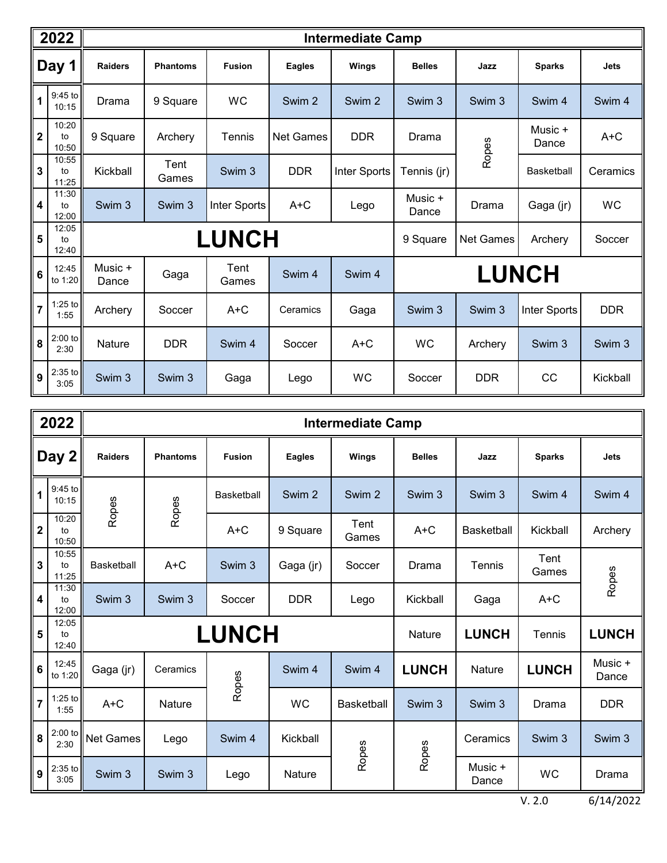| 2022                    |                      | <b>Intermediate Camp</b> |                 |                   |                  |              |                                                   |            |                   |             |  |  |
|-------------------------|----------------------|--------------------------|-----------------|-------------------|------------------|--------------|---------------------------------------------------|------------|-------------------|-------------|--|--|
| Day 1                   |                      | <b>Raiders</b>           | <b>Phantoms</b> | <b>Fusion</b>     | <b>Eagles</b>    | Wings        | <b>Belles</b>                                     | Jazz       | <b>Sparks</b>     | <b>Jets</b> |  |  |
| $\vert$ 1               | 9:45 to<br>10:15     | Drama                    | 9 Square        | WC                | Swim 2           | Swim 2       | Swim <sub>3</sub>                                 | Swim 3     | Swim 4            | Swim 4      |  |  |
| $\overline{2}$          | 10:20<br>to<br>10:50 | 9 Square                 | Archery         | Tennis            | <b>Net Games</b> | <b>DDR</b>   | Drama                                             | Ropes      | Music +<br>Dance  | $A+C$       |  |  |
| $\mathbf{3}$            | 10:55<br>to<br>11:25 | Kickball                 | Tent<br>Games   | Swim <sub>3</sub> | <b>DDR</b>       | Inter Sports | Tennis (jr)                                       |            | <b>Basketball</b> | Ceramics    |  |  |
| $\boldsymbol{4}$        | 11:30<br>to<br>12:00 | Swim 3                   | Swim 3          | Inter Sports      | $A+C$            | Lego         | Music +<br>Dance                                  | Drama      | Gaga (jr)         | WC          |  |  |
| $\overline{\mathbf{5}}$ | 12:05<br>to<br>12:40 |                          |                 | <b>LUNCH</b>      |                  |              | 9 Square<br><b>Net Games</b><br>Archery<br>Soccer |            |                   |             |  |  |
| $6\phantom{a}$          | 12:45<br>to 1:20     | Music +<br>Dance         | Gaga            | Tent<br>Games     | Swim 4           | Swim 4       | <b>LUNCH</b>                                      |            |                   |             |  |  |
| l 7                     | $1:25$ to<br>1:55    | Archery                  | Soccer          | $A+C$             | Ceramics         | Gaga         | Swim 3                                            | Swim 3     | Inter Sports      | <b>DDR</b>  |  |  |
| 8                       | $2:00$ to<br>2:30    | Nature                   | <b>DDR</b>      | Swim 4            | Soccer           | $A+C$        | <b>WC</b>                                         | Archery    | Swim 3            | Swim 3      |  |  |
| $\vert$ 9               | $2:35$ to<br>3:05    | Swim 3                   | Swim 3          | Gaga              | Lego             | WC           | Soccer                                            | <b>DDR</b> | cc                | Kickball    |  |  |

| 2022                    |                      | <b>Intermediate Camp</b> |                 |               |               |                   |               |                   |               |                  |  |  |  |
|-------------------------|----------------------|--------------------------|-----------------|---------------|---------------|-------------------|---------------|-------------------|---------------|------------------|--|--|--|
|                         | Day 2                | <b>Raiders</b>           | <b>Phantoms</b> | <b>Fusion</b> | <b>Eagles</b> | <b>Wings</b>      | <b>Belles</b> | Jazz              | <b>Sparks</b> | <b>Jets</b>      |  |  |  |
| $\mathbf{1}$            | $9:45$ to<br>10:15   | Ropes                    | Ropes           | Basketball    | Swim 2        | Swim 2            | Swim 3        | Swim 3            | Swim 4        | Swim 4           |  |  |  |
| 2                       | 10:20<br>to<br>10:50 |                          |                 | $A+C$         | 9 Square      | Tent<br>Games     | $A+C$         | <b>Basketball</b> | Kickball      | Archery          |  |  |  |
| $\mathbf{3}$            | 10:55<br>to<br>11:25 | <b>Basketball</b>        | $A+C$           | Swim 3        | Gaga (jr)     | Soccer            | Drama         | Tennis            | Tent<br>Games | Ropes            |  |  |  |
| $\overline{\mathbf{4}}$ | 11:30<br>to<br>12:00 | Swim 3                   | Swim 3          | Soccer        | <b>DDR</b>    | Lego              | Kickball      | Gaga              | $A+C$         |                  |  |  |  |
| $5\phantom{a}$          | 12:05<br>to<br>12:40 |                          |                 | <b>LUNCH</b>  |               |                   | Nature        | <b>LUNCH</b>      | Tennis        | <b>LUNCH</b>     |  |  |  |
| $\boldsymbol{6}$        | 12:45<br>to 1:20     | Gaga (jr)                | Ceramics        | Ropes         | Swim 4        | Swim 4            | <b>LUNCH</b>  | Nature            | <b>LUNCH</b>  | Music +<br>Dance |  |  |  |
| 7                       | $1:25$ to<br>1:55    | $A+C$                    | Nature          |               | <b>WC</b>     | <b>Basketball</b> | Swim 3        | Swim 3            | Drama         | <b>DDR</b>       |  |  |  |
| $\pmb{8}$               | $2:00$ to<br>2:30    | Net Games                | Lego            | Swim 4        | Kickball      | Ropes             | Ropes         | Ceramics          | Swim 3        | Swim 3           |  |  |  |
| $\boldsymbol{9}$        | $2:35$ to<br>3:05    | Swim 3                   | Swim 3          | Lego          | Nature        |                   |               | Music +<br>Dance  | <b>WC</b>     | Drama            |  |  |  |

V. 2.0 6/14/2022